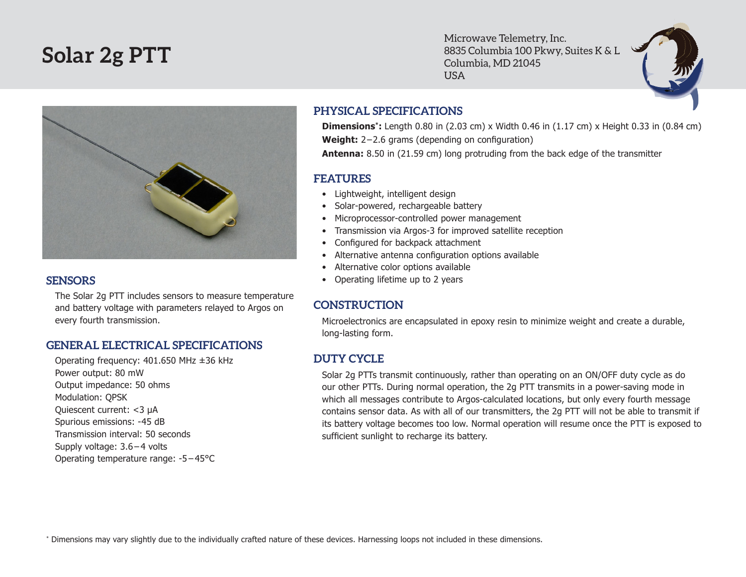# **Solar 2g PTT**

Microwave Telemetry, Inc. 8835 Columbia 100 Pkwy, Suites K & L Columbia, MD 21045 USA



#### **SENSORS**

The Solar 2g PTT includes sensors to measure temperature and battery voltage with parameters relayed to Argos on every fourth transmission.

### **GENERAL ELECTRICAL SPECIFICATIONS**

Operating frequency: 401.650 MHz ±36 kHz Power output: 80 mW Output impedance: 50 ohms Modulation: QPSK Quiescent current: <3 µA Spurious emissions: -45 dB Transmission interval: 50 seconds Supply voltage: 3.6 – 4 volts Operating temperature range: -5 – 45°C

## **PHYSICAL SPECIFICATIONS**

**Dimensions\*:** Length 0.80 in (2.03 cm) x Width 0.46 in (1.17 cm) x Height 0.33 in (0.84 cm) Weight: 2-2.6 grams (depending on configuration) **Antenna:** 8.50 in (21.59 cm) long protruding from the back edge of the transmitter

#### **FEATURES**

- • Lightweight, intelligent design
- Solar-powered, rechargeable battery
- Microprocessor-controlled power management
- Transmission via Argos-3 for improved satellite reception
- • Configured for backpack attachment
- Alternative antenna configuration options available
- Alternative color options available
- Operating lifetime up to 2 years

# **CONSTRUCTION**

Microelectronics are encapsulated in epoxy resin to minimize weight and create a durable, long-lasting form.

# **DUTY CYCLE**

Solar 2g PTTs transmit continuously, rather than operating on an ON/OFF duty cycle as do our other PTTs. During normal operation, the 2g PTT transmits in a power-saving mode in which all messages contribute to Argos-calculated locations, but only every fourth message contains sensor data. As with all of our transmitters, the 2g PTT will not be able to transmit if its battery voltage becomes too low. Normal operation will resume once the PTT is exposed to sufficient sunlight to recharge its battery.

\* Dimensions may vary slightly due to the individually crafted nature of these devices. Harnessing loops not included in these dimensions.